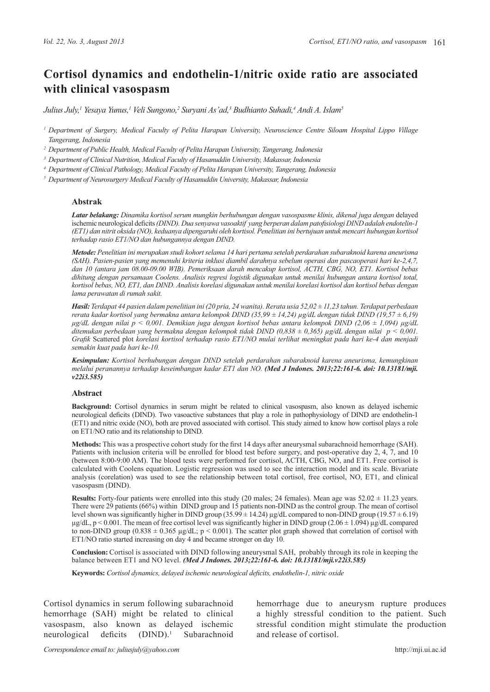# **Cortisol dynamics and endothelin-1/nitric oxide ratio are associated with clinical vasospasm**

*Julius July,1 Yesaya Yunus,1 Veli Sungono,2 Suryani As'ad,3 Budhianto Suhadi,4 Andi A. Islam5*

*<sup>1</sup> Department of Surgery, Medical Faculty of Pelita Harapan University, Neuroscience Centre Siloam Hospital Lippo Village Tangerang, Indonesia*

*<sup>2</sup> Department of Public Health, Medical Faculty of Pelita Harapan University, Tangerang, Indonesia*

*<sup>3</sup> Department of Clinical Nutrition, Medical Faculty of Hasanuddin University, Makassar, Indonesia*

*<sup>4</sup> Department of Clinical Pathology, Medical Faculty of Pelita Harapan University, Tangerang, Indonesia*

*<sup>5</sup> Department of Neurosurgery Medical Faculty of Hasanuddin University, Makassar, Indonesia*

### **Abstrak**

*Latar belakang: Dinamika kortisol serum mungkin berhubungan dengan vasospasme klinis, dikenal juga dengan* delayed ischemic neurological deficits *(DIND). Dua senyawa vasoaktif yang berperan dalam patofisiologi DIND adalah endotelin-1 (ET1) dan nitrit oksida (NO), keduanya dipengaruhi oleh kortisol. Penelitian ini bertujuan untuk mencari hubungan kortisol terhadap rasio ET1/NO dan hubungannya dengan DIND.*

*Metode: Penelitian ini merupakan studi kohort selama 14 hari pertama setelah perdarahan subaraknoid karena aneurisma (SAH). Pasien-pasien yang memenuhi kriteria inklusi diambil darahnya sebelum operasi dan pascaoperasi hari ke-2,4,7, dan 10 (antara jam 08.00-09.00 WIB). Pemeriksaan darah mencakup kortisol, ACTH, CBG, NO, ET1. Kortisol bebas dihitung dengan persamaan Coolens. Analisis regresi logistik digunakan untuk menilai hubungan antara kortisol total, kortisol bebas, NO, ET1, dan DIND. Analisis korelasi digunakan untuk menilai korelasi kortisol dan kortisol bebas dengan lama perawatan di rumah sakit.*

*Hasil: Terdapat 44 pasien dalam penelitian ini (20 pria, 24 wanita). Rerata usia 52,02 ± 11,23 tahun. Terdapat perbedaan rerata kadar kortisol yang bermakna antara kelompok DIND (35,99 ± 14,24) µg/dL dengan tidak DIND (19,57 ± 6,19) µg/dL dengan nilai p < 0,001. Demikian juga dengan kortisol bebas antara kelompok DIND (2,06 ± 1,094) µg/dL ditemukan perbedaan yang bermakna dengan kelompok tidak DIND (0,838 ± 0,365) µg/dL dengan nilai p < 0,001. Grafik* Scattered plot *korelasi kortisol terhadap rasio ET1/NO mulai terlihat meningkat pada hari ke-4 dan menjadi semakin kuat pada hari ke-10.*

*Kesimpulan: Kortisol berhubungan dengan DIND setelah perdarahan subaraknoid karena aneurisma, kemungkinan melalui peranannya terhadap keseimbangan kadar ET1 dan NO. [\(Med J Indones. 2013;22:161-6. doi: 10.13181/mji.](http://dx.doi.org/10.13181/mji.v22i3.585) [v22i3.585\)](http://dx.doi.org/10.13181/mji.v22i3.585)*

### **Abstract**

**Background:** Cortisol dynamics in serum might be related to clinical vasospasm, also known as delayed ischemic neurological deficits (DIND). Two vasoactive substances that play a role in pathophysiology of DIND are endothelin-1 (ET1) and nitric oxide (NO), both are proved associated with cortisol. This study aimed to know how cortisol plays a role on ET1/NO ratio and its relationship to DIND.

**Methods:** This was a prospective cohort study for the first 14 days after aneurysmal subarachnoid hemorrhage (SAH). Patients with inclusion criteria will be enrolled for blood test before surgery, and post-operative day 2, 4, 7, and 10 (between 8:00-9:00 AM). The blood tests were performed for cortisol, ACTH, CBG, NO, and ET1. Free cortisol is calculated with Coolens equation. Logistic regression was used to see the interaction model and its scale. Bivariate analysis (corelation) was used to see the relationship between total cortisol, free cortisol, NO, ET1, and clinical vasospasm (DIND).

**Results:** Forty-four patients were enrolled into this study (20 males; 24 females). Mean age was  $52.02 \pm 11.23$  years. There were 29 patients (66%) within DIND group and 15 patients non-DIND as the control group. The mean of cortisol level shown was significantly higher in DIND group  $(35.99 \pm 14.24)$  µg/dL compared to non-DIND group  $(19.57 \pm 6.19)$  $\mu$ g/dL, p < 0.001. The mean of free cortisol level was significantly higher in DIND group (2.06  $\pm$  1.094)  $\mu$ g/dL compared to non-DIND group (0.838  $\pm$  0.365 µg/dL; p < 0.001). The scatter plot graph showed that correlation of cortisol with ET1/NO ratio started increasing on day 4 and became stronger on day 10.

**Conclusion:** Cortisol is associated with DIND following aneurysmal SAH, probably through its role in keeping the balance between ET1 and NO level. *[\(Med J Indones. 2013;22:161-6. doi: 10.13181/mji.v22i3.585\)](http://dx.doi.org/10.13181/mji.v22i3.585)* 

**Keywords:** *Cortisol dynamics, delayed ischemic neurological deficits, endothelin-1, nitric oxide*

Cortisol dynamics in serum following subarachnoid hemorrhage (SAH) might be related to clinical vasospasm, also known as delayed ischemic neurological deficits (DIND).<sup>1</sup> Subarachnoid

hemorrhage due to aneurysm rupture produces a highly stressful condition to the patient. Such stressful condition might stimulate the production and release of cortisol.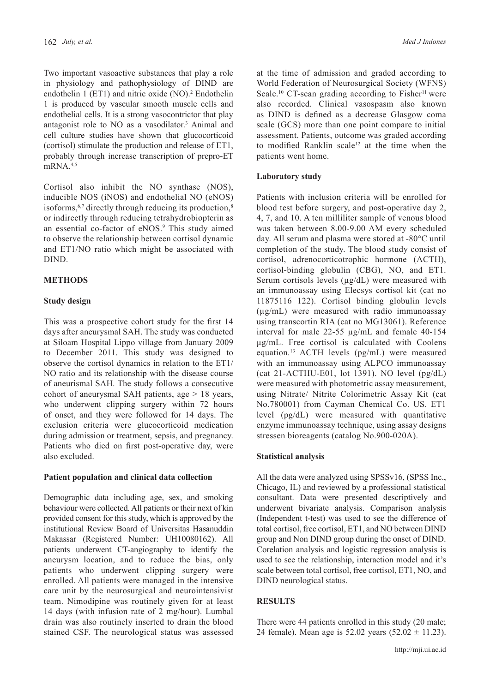Two important vasoactive substances that play a role in physiology and pathophysiology of DIND are endothelin  $1$  (ET1) and nitric oxide (NO).<sup>2</sup> Endothelin 1 is produced by vascular smooth muscle cells and endothelial cells. It is a strong vasocontrictor that play antagonist role to NO as a vasodilator.<sup>3</sup> Animal and cell culture studies have shown that glucocorticoid (cortisol) stimulate the production and release of ET1, probably through increase transcription of prepro-ET  $mRNA$ <sup>4,5</sup>

Cortisol also inhibit the NO synthase (NOS), inducible NOS (iNOS) and endothelial NO (eNOS) isoforms, $6,7$  directly through reducing its production, $8$ or indirectly through reducing tetrahydrobiopterin as an essential co-factor of eNOS.<sup>9</sup> This study aimed to observe the relationship between cortisol dynamic and ET1/NO ratio which might be associated with DIND.

# **METHODS**

# **Study design**

This was a prospective cohort study for the first 14 days after aneurysmal SAH. The study was conducted at Siloam Hospital Lippo village from January 2009 to December 2011. This study was designed to observe the cortisol dynamics in relation to the ET1/ NO ratio and its relationship with the disease course of aneurismal SAH. The study follows a consecutive cohort of aneurysmal SAH patients, age  $> 18$  years, who underwent clipping surgery within 72 hours of onset, and they were followed for 14 days. The exclusion criteria were glucocorticoid medication during admission or treatment, sepsis, and pregnancy. Patients who died on first post-operative day, were also excluded.

# **Patient population and clinical data collection**

Demographic data including age, sex, and smoking behaviour were collected. All patients or their next of kin provided consent for this study, which is approved by the institutional Review Board of Universitas Hasanuddin Makassar (Registered Number: UH10080162). All patients underwent CT-angiography to identify the aneurysm location, and to reduce the bias, only patients who underwent clipping surgery were enrolled. All patients were managed in the intensive care unit by the neurosurgical and neurointensivist team. Nimodipine was routinely given for at least 14 days (with infusion rate of 2 mg/hour). Lumbal drain was also routinely inserted to drain the blood stained CSF. The neurological status was assessed

at the time of admission and graded according to World Federation of Neurosurgical Society (WFNS) Scale.<sup>10</sup> CT-scan grading according to Fisher<sup>11</sup> were also recorded. Clinical vasospasm also known as DIND is defined as a decrease Glasgow coma scale (GCS) more than one point compare to initial assessment. Patients, outcome was graded according to modified Ranklin scale<sup>12</sup> at the time when the patients went home.

## **Laboratory study**

Patients with inclusion criteria will be enrolled for blood test before surgery, and post-operative day 2, 4, 7, and 10. A ten milliliter sample of venous blood was taken between 8.00-9.00 AM every scheduled day. All serum and plasma were stored at -80°C until completion of the study. The blood study consist of cortisol, adrenocorticotrophic hormone (ACTH), cortisol-binding globulin (CBG), NO, and ET1. Serum cortisols levels ( $\mu$ g/dL) were measured with an immunoassay using Elecsys cortisol kit (cat no 11875116 122). Cortisol binding globulin levels (µg/mL) were measured with radio immunoassay using transcortin RIA (cat no MG13061). Reference interval for male 22-55 µg/mL and female 40-154 µg/mL. Free cortisol is calculated with Coolens equation.<sup>13</sup> ACTH levels (pg/mL) were measured with an immunoassay using ALPCO immunoassay (cat 21-ACTHU-E01, lot 1391). NO level (pg/dL) were measured with photometric assay measurement, using Nitrate/ Nitrite Colorimetric Assay Kit (cat No.780001) from Cayman Chemical Co. US. ET1 level (pg/dL) were measured with quantitative enzyme immunoassay technique, using assay designs stressen bioreagents (catalog No.900-020A).

# **Statistical analysis**

All the data were analyzed using SPSSv16, (SPSS Inc., Chicago, IL) and reviewed by a professional statistical consultant. Data were presented descriptively and underwent bivariate analysis. Comparison analysis (Independent t-test) was used to see the difference of total cortisol, free cortisol, ET1, and NO between DIND group and Non DIND group during the onset of DIND. Corelation analysis and logistic regression analysis is used to see the relationship, interaction model and it's scale between total cortisol, free cortisol, ET1, NO, and DIND neurological status.

# **RESULTS**

There were 44 patients enrolled in this study (20 male; 24 female). Mean age is  $52.02$  years  $(52.02 \pm 11.23)$ .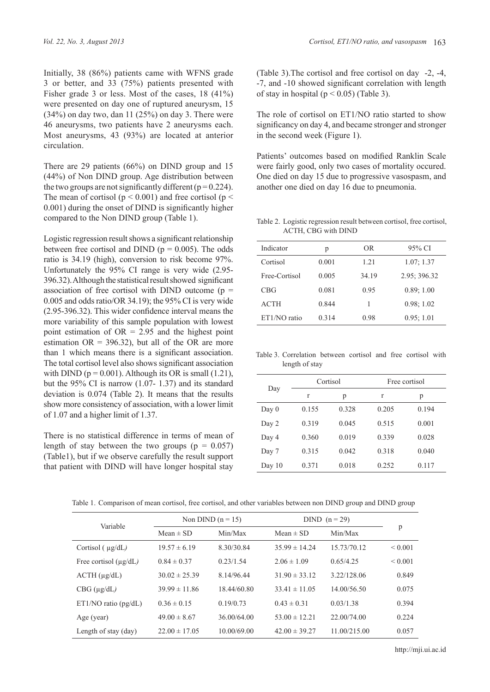Initially, 38 (86%) patients came with WFNS grade 3 or better, and 33 (75%) patients presented with Fisher grade 3 or less. Most of the cases, 18 (41%) were presented on day one of ruptured aneurysm, 15  $(34%)$  on day two, dan 11  $(25%)$  on day 3. There were 46 aneurysms, two patients have 2 aneurysms each. Most aneurysms, 43 (93%) are located at anterior circulation.

There are 29 patients (66%) on DIND group and 15 (44%) of Non DIND group. Age distribution between the two groups are not significantly different ( $p = 0.224$ ). The mean of cortisol ( $p < 0.001$ ) and free cortisol ( $p <$ 0.001) during the onset of DIND is significantly higher compared to the Non DIND group (Table 1).

Logistic regression result shows a significant relationship between free cortisol and DIND ( $p = 0.005$ ). The odds ratio is 34.19 (high), conversion to risk become 97%. Unfortunately the 95% CI range is very wide (2.95- 396.32). Although the statistical result showed significant association of free cortisol with DIND outcome  $(p =$ 0.005 and odds ratio/OR 34.19); the 95% CI is very wide (2.95-396.32). This wider confidence interval means the more variability of this sample population with lowest point estimation of  $OR = 2.95$  and the highest point estimation  $OR = 396.32$ , but all of the OR are more than 1 which means there is a significant association. The total cortisol level also shows significant association with DIND ( $p = 0.001$ ). Although its OR is small (1.21), but the 95% CI is narrow (1.07- 1.37) and its standard deviation is 0.074 (Table 2). It means that the results show more consistency of association, with a lower limit of 1.07 and a higher limit of 1.37.

There is no statistical difference in terms of mean of length of stay between the two groups ( $p = 0.057$ ) (Table1), but if we observe carefully the result support that patient with DIND will have longer hospital stay (Table 3).The cortisol and free cortisol on day -2, -4, -7, and -10 showed significant correlation with length of stay in hospital ( $p < 0.05$ ) (Table 3).

The role of cortisol on ET1/NO ratio started to show significancy on day 4, and became stronger and stronger in the second week (Figure 1).

Patients' outcomes based on modified Ranklin Scale were fairly good, only two cases of mortality occured. One died on day 15 due to progressive vasospasm, and another one died on day 16 due to pneumonia.

Table 2. Logistic regression result between cortisol, free cortisol, ACTH, CBG with DIND

| Indicator     | р     | OR.   | 95% CI       |
|---------------|-------|-------|--------------|
| Cortisol      | 0.001 | 1 21  | 1.07:1.37    |
| Free-Cortisol | 0.005 | 34.19 | 2.95; 396.32 |
| CBG           | 0.081 | 0.95  | 0.89; 1.00   |
| <b>ACTH</b>   | 0.844 | 1     | 0.98:1.02    |
| ET1/NO ratio  | 0.314 | 0.98  | 0.95; 1.01   |

Table 3. Correlation between cortisol and free cortisol with length of stay

| Day      |       | Cortisol |       | Free cortisol |
|----------|-------|----------|-------|---------------|
|          | r     | p        | r     | р             |
| Day $0$  | 0.155 | 0.328    | 0.205 | 0.194         |
| Day 2    | 0.319 | 0.045    | 0.515 | 0.001         |
| Day 4    | 0.360 | 0.019    | 0.339 | 0.028         |
| Day 7    | 0.315 | 0.042    | 0.318 | 0.040         |
| Day $10$ | 0.371 | 0.018    | 0.252 | 0.117         |

Table 1. Comparison of mean cortisol, free cortisol, and other variables between non DIND group and DIND group

| Variable                   | Non DIND $(n = 15)$ |             | DIND $(n=29)$     |              |              |
|----------------------------|---------------------|-------------|-------------------|--------------|--------------|
|                            | Mean $\pm$ SD       | Min/Max     | Mean $\pm$ SD     | Min/Max      | p            |
| Cortisol $(\mu g/dL)$      | $19.57 \pm 6.19$    | 8.30/30.84  | $35.99 \pm 14.24$ | 15 73/70 12  | ${}_{0.001}$ |
| Free cortisol $(\mu g/dL)$ | $0.84 \pm 0.37$     | 0.23/1.54   | $2.06 \pm 1.09$   | 0.65/4.25    | ${}_{0.001}$ |
| $ACTH$ ( $\mu$ g/dL)       | $30.02 \pm 25.39$   | 8.14/96.44  | $31.90 \pm 33.12$ | 3.22/128.06  | 0.849        |
| $CBG (\mu g/dL)$           | $39.99 \pm 11.86$   | 18.44/60.80 | $33.41 \pm 11.05$ | 14.00/56.50  | 0.075        |
| ET1/NO ratio (pg/dL)       | $0.36 \pm 0.15$     | 0.19/0.73   | $0.43 \pm 0.31$   | 0.03/1.38    | 0.394        |
| Age (year)                 | $49.00 \pm 8.67$    | 36.00/64.00 | $53.00 \pm 12.21$ | 22.00/74.00  | 0.224        |
| Length of stay (day)       | $22.00 \pm 17.05$   | 10.00/69.00 | $42.00 \pm 39.27$ | 11.00/215.00 | 0.057        |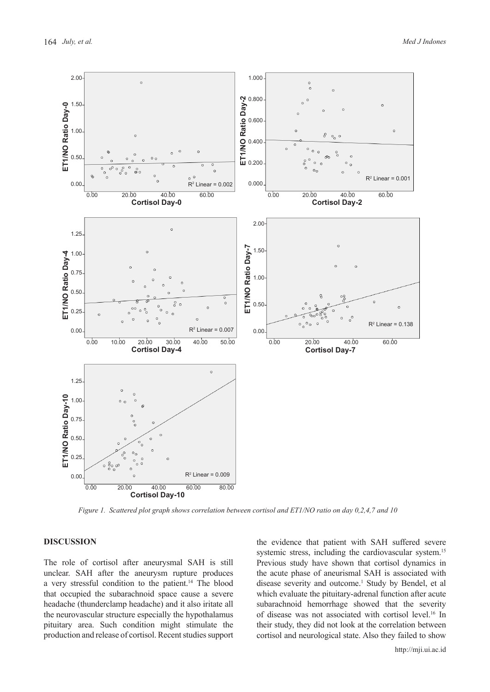

*Figure 1. Scattered plot graph shows correlation between cortisol and ET1/NO ratio on day 0,2,4,7 and 10*

## **DISCUSSION**

The role of cortisol after aneurysmal SAH is still unclear. SAH after the aneurysm rupture produces a very stressful condition to the patient.14 The blood that occupied the subarachnoid space cause a severe headache (thunderclamp headache) and it also iritate all the neurovascular structure especially the hypothalamus pituitary area. Such condition might stimulate the production and release of cortisol. Recent studies support the evidence that patient with SAH suffered severe systemic stress, including the cardiovascular system.<sup>15</sup> Previous study have shown that cortisol dynamics in the acute phase of aneurismal SAH is associated with disease severity and outcome.<sup>1</sup> Study by Bendel, et al which evaluate the pituitary-adrenal function after acute subarachnoid hemorrhage showed that the severity of disease was not associated with cortisol level.<sup>16</sup> In their study, they did not look at the correlation between cortisol and neurological state. Also they failed to show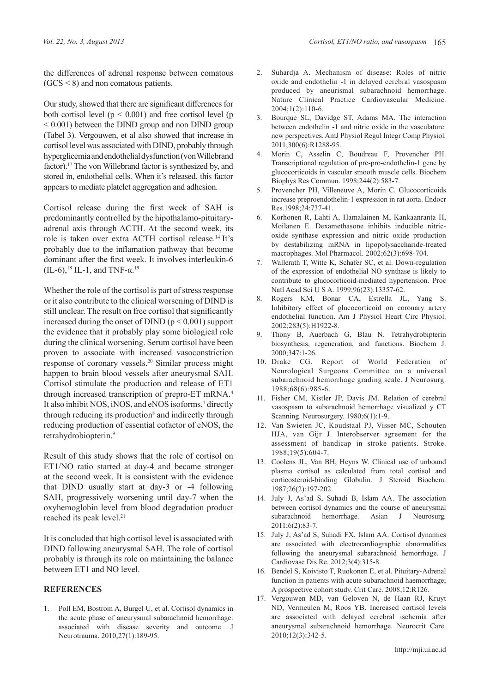the differences of adrenal response between comatous  $(GCS < 8)$  and non comatous patients.

Our study, showed that there are significant differences for both cortisol level  $(p < 0.001)$  and free cortisol level  $(p$  $< 0.001$ ) between the DIND group and non DIND group (Tabel 3). Vergouwen, et al also showed that increase in cortisol level was associated with DIND, probably through hyperglicemia and endothelial dysfunction (von Willebrand factor).17 The von Willebrand factor is synthesized by, and stored in, endothelial cells. When it's released, this factor appears to mediate platelet aggregation and adhesion.

Cortisol release during the first week of SAH is predominantly controlled by the hipothalamo-pituitaryadrenal axis through ACTH. At the second week, its role is taken over extra ACTH cortisol release.14 It's probably due to the inflamation pathway that become dominant after the first week. It involves interleukin-6 (IL-6),<sup>18</sup> IL-1, and TNF- $\alpha$ .<sup>19</sup>

Whether the role of the cortisol is part of stress response or it also contribute to the clinical worsening of DIND is still unclear. The result on free cortisol that significantly increased during the onset of DIND  $(p < 0.001)$  support the evidence that it probably play some biological role during the clinical worsening. Serum cortisol have been proven to associate with increased vasoconstriction response of coronary vessels.20 Similar process might happen to brain blood vessels after aneurysmal SAH. Cortisol stimulate the production and release of ET1 through increased transcription of prepro-ET mRNA.<sup>4</sup> It also inhibit NOS, iNOS, and eNOS isoforms,<sup>7</sup> directly through reducing its production<sup>8</sup> and indirectly through reducing production of essential cofactor of eNOS, the tetrahydrobiopterin.<sup>9</sup>

Result of this study shows that the role of cortisol on ET1/NO ratio started at day-4 and became stronger at the second week. It is consistent with the evidence that DIND usually start at day-3 or -4 following SAH, progressively worsening until day-7 when the oxyhemoglobin level from blood degradation product reached its peak level.<sup>21</sup>

It is concluded that high cortisol level is associated with DIND following aneurysmal SAH. The role of cortisol probably is through its role on maintaining the balance between ET1 and NO level.

# **REFERENCES**

1. Poll EM, Bostrom A, Burgel U, et al. Cortisol dynamics in the acute phase of aneurysmal subarachnoid hemorrhage: associated with disease severity and outcome. J Neurotrauma. 2010;27(1):189-95.

- 2. Suhardja A. Mechanism of disease: Roles of nitric oxide and endothelin -1 in delayed cerebral vasospasm produced by aneurismal subarachnoid hemorrhage. Nature Clinical Practice Cardiovascular Medicine. 2004;1(2):110-6.
- 3. Bourque SL, Davidge ST, Adams MA. The interaction between endothelin -1 and nitric oxide in the vasculature: new perspectives. AmJ Physiol Regul Integr Comp Physiol*.* 2011;300(6):R1288-95.
- 4. Morin C, Asselin C, Boudreau F, Provencher PH. Transcriptional regulation of pre-pro-endothelin-1 gene by glucocorticoids in vascular smooth muscle cells. Biochem Biophys Res Commun. 1998;244(2):583-7.
- 5. Provencher PH, Villeneuve A, Morin C. Glucocorticoids increase preproendothelin-1 expression in rat aorta. Endocr Res.1998;24:737-41.
- 6. Korhonen R, Lahti A, Hamalainen M, Kankaanranta H, Moilanen E. Dexamethasone inhibits inducible nitricoxide synthase expression and nitric oxide production by destabilizing mRNA in lipopolysaccharide-treated macrophages. Mol Pharmacol. 2002;62(3):698-704.
- 7. Wallerath T, Witte K, Schafer SC, et al. Down-regulation of the expression of endothelial NO synthase is likely to contribute to glucocorticoid-mediated hypertension. Proc Natl Acad Sci U S A. 1999;96(23):13357-62.
- 8. Rogers KM, Bonar CA, Estrella JL, Yang S. Inhibitory effect of glucocorticoid on coronary artery endothelial function. Am J Physiol Heart Circ Physiol. 2002;283(5):H1922-8.
- 9. Thony B, Auerbach G, Blau N. Tetrahydrobipterin biosynthesis, regeneration, and functions. Biochem J. 2000;347:1-26.
- 10. Drake CG. Report of World Federation of Neurological Surgeons Committee on a universal subarachnoid hemorrhage grading scale. J Neurosurg. 1988;68(6):985-6.
- 11. Fisher CM, Kistler JP, Davis JM. Relation of cerebral vasospasm to subarachnoid hemorrhage visualized y CT Scanning. Neurosurgery. 1980;6(1):1-9.
- 12. Van Swieten JC, Koudstaal PJ, Visser MC, Schouten HJA, van Gijr J. Interobserver agreement for the assessment of handicap in stroke patients. Stroke. 1988;19(5):604-7.
- 13. Coolens JL, Van BH, Heyns W. Clinical use of unbound plasma cortisol as calculated from total cortisol and corticosteroid-binding Globulin. J Steroid Biochem. 1987;26(2):197-202.
- 14. July J, As'ad S, Suhadi B, Islam AA. The association between cortisol dynamics and the course of aneurysmal subarachnoid hemorrhage. Asian J Neurosurg*.*  2011;6(2):83-7.
- 15. July J, As'ad S, Suhadi FX, Islam AA. Cortisol dynamics are associated with electrocardiographic abnormalities following the aneurysmal subarachnoid hemorrhage. J Cardiovasc Dis Re. 2012;3(4):315-8.
- 16. Bendel S, Koivisto T, Ruokonen E, et al. Pituitary-Adrenal function in patients with acute subarachnoid haemorrhage; A prospective cohort study. Crit Care. 2008;12:R126.
- 17. Vergouwen MD, van Geloven N, de Haan RJ, Kruyt ND, Vermeulen M, Roos YB. Increased cortisol levels are associated with delayed cerebral ischemia after aneurysmal subarachnoid hemorrhage. Neurocrit Care. 2010;12(3):342-5.